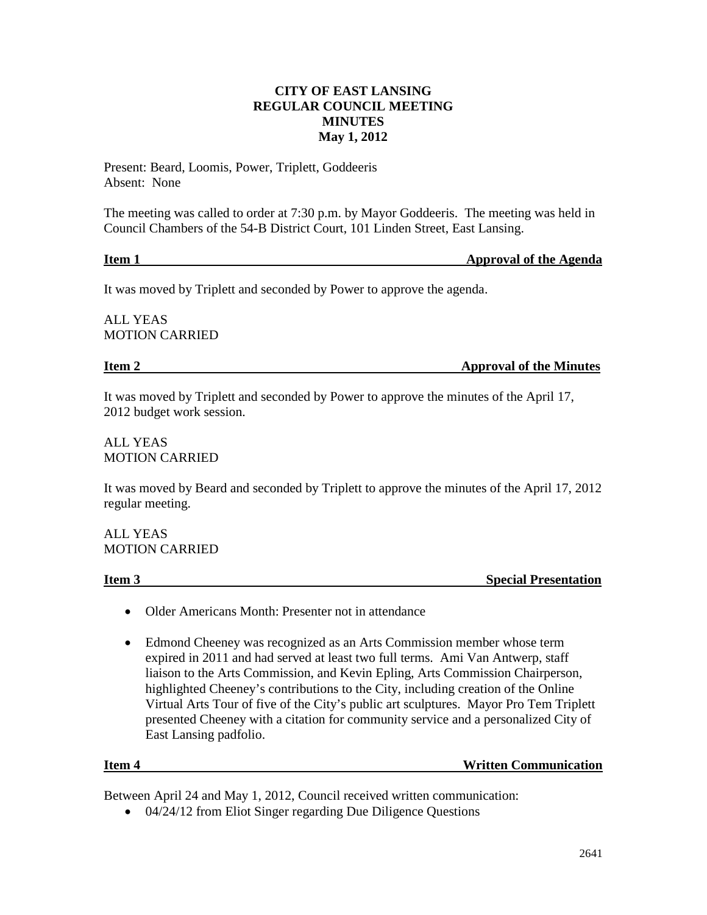# **CITY OF EAST LANSING REGULAR COUNCIL MEETING MINUTES May 1, 2012**

Present: Beard, Loomis, Power, Triplett, Goddeeris Absent: None

The meeting was called to order at 7:30 p.m. by Mayor Goddeeris. The meeting was held in Council Chambers of the 54-B District Court, 101 Linden Street, East Lansing.

**Item 1** Approval of the Agenda

It was moved by Triplett and seconded by Power to approve the agenda.

ALL YEAS MOTION CARRIED

**Item 2** Approval of the Minutes

It was moved by Triplett and seconded by Power to approve the minutes of the April 17, 2012 budget work session.

ALL YEAS MOTION CARRIED

It was moved by Beard and seconded by Triplett to approve the minutes of the April 17, 2012 regular meeting.

ALL YEAS MOTION CARRIED

**Item 3** Special Presentation

- Older Americans Month: Presenter not in attendance
- Edmond Cheeney was recognized as an Arts Commission member whose term expired in 2011 and had served at least two full terms. Ami Van Antwerp, staff liaison to the Arts Commission, and Kevin Epling, Arts Commission Chairperson, highlighted Cheeney's contributions to the City, including creation of the Online Virtual Arts Tour of five of the City's public art sculptures. Mayor Pro Tem Triplett presented Cheeney with a citation for community service and a personalized City of East Lansing padfolio.

#### **Item 4 Written Communication**

Between April 24 and May 1, 2012, Council received written communication:

• 04/24/12 from Eliot Singer regarding Due Diligence Questions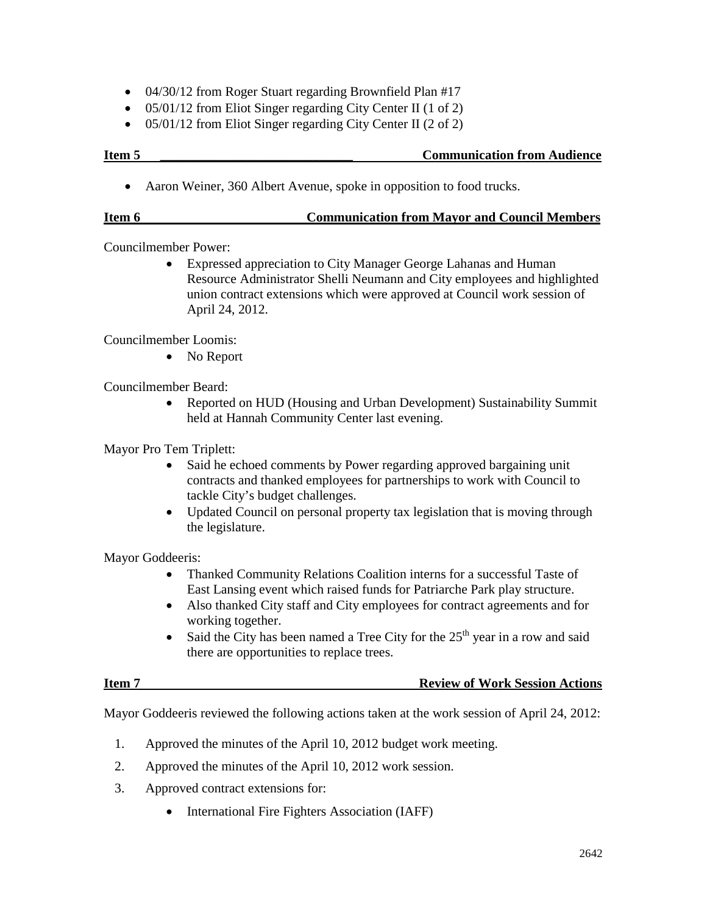- 04/30/12 from Roger Stuart regarding Brownfield Plan #17
- 05/01/12 from Eliot Singer regarding City Center II (1 of 2)
- 05/01/12 from Eliot Singer regarding City Center II (2 of 2)

### **Item 5 Communication from Audience**

• Aaron Weiner, 360 Albert Avenue, spoke in opposition to food trucks.

### **Item 6 Communication from Mayor and Council Members**

Councilmember Power:

• Expressed appreciation to City Manager George Lahanas and Human Resource Administrator Shelli Neumann and City employees and highlighted union contract extensions which were approved at Council work session of April 24, 2012.

Councilmember Loomis:

• No Report

Councilmember Beard:

• Reported on HUD (Housing and Urban Development) Sustainability Summit held at Hannah Community Center last evening.

Mayor Pro Tem Triplett:

- Said he echoed comments by Power regarding approved bargaining unit contracts and thanked employees for partnerships to work with Council to tackle City's budget challenges.
- Updated Council on personal property tax legislation that is moving through the legislature.

Mayor Goddeeris:

- Thanked Community Relations Coalition interns for a successful Taste of East Lansing event which raised funds for Patriarche Park play structure.
- Also thanked City staff and City employees for contract agreements and for working together.
- Said the City has been named a Tree City for the  $25<sup>th</sup>$  year in a row and said there are opportunities to replace trees.

# **Item 7 Review of Work Session Actions**

Mayor Goddeeris reviewed the following actions taken at the work session of April 24, 2012:

- 1. Approved the minutes of the April 10, 2012 budget work meeting.
- 2. Approved the minutes of the April 10, 2012 work session.
- 3. Approved contract extensions for:
	- International Fire Fighters Association (IAFF)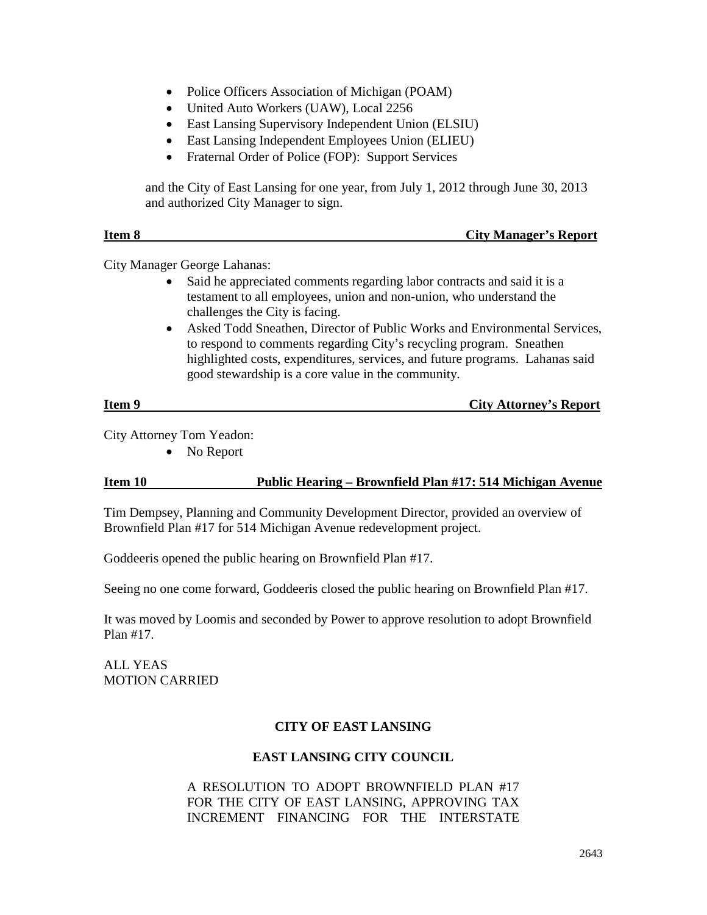- Police Officers Association of Michigan (POAM)
- United Auto Workers (UAW), Local 2256
- East Lansing Supervisory Independent Union (ELSIU)
- East Lansing Independent Employees Union (ELIEU)
- Fraternal Order of Police (FOP): Support Services

and the City of East Lansing for one year, from July 1, 2012 through June 30, 2013 and authorized City Manager to sign.

| Item 8 | <b>City Manager's Report</b> |
|--------|------------------------------|
|        |                              |

City Manager George Lahanas:

- Said he appreciated comments regarding labor contracts and said it is a testament to all employees, union and non-union, who understand the challenges the City is facing.
- Asked Todd Sneathen, Director of Public Works and Environmental Services, to respond to comments regarding City's recycling program. Sneathen highlighted costs, expenditures, services, and future programs. Lahanas said good stewardship is a core value in the community.

| Item 9 | <b>City Attorney's Report</b> |  |
|--------|-------------------------------|--|
|        |                               |  |

City Attorney Tom Yeadon:

• No Report

# **Item 10 Public Hearing – Brownfield Plan #17: 514 Michigan Avenue**

Tim Dempsey, Planning and Community Development Director, provided an overview of Brownfield Plan #17 for 514 Michigan Avenue redevelopment project.

Goddeeris opened the public hearing on Brownfield Plan #17.

Seeing no one come forward, Goddeeris closed the public hearing on Brownfield Plan #17.

It was moved by Loomis and seconded by Power to approve resolution to adopt Brownfield Plan #17.

ALL YEAS MOTION CARRIED

# **CITY OF EAST LANSING**

#### **EAST LANSING CITY COUNCIL**

### A RESOLUTION TO ADOPT BROWNFIELD PLAN #17 FOR THE CITY OF EAST LANSING, APPROVING TAX INCREMENT FINANCING FOR THE INTERSTATE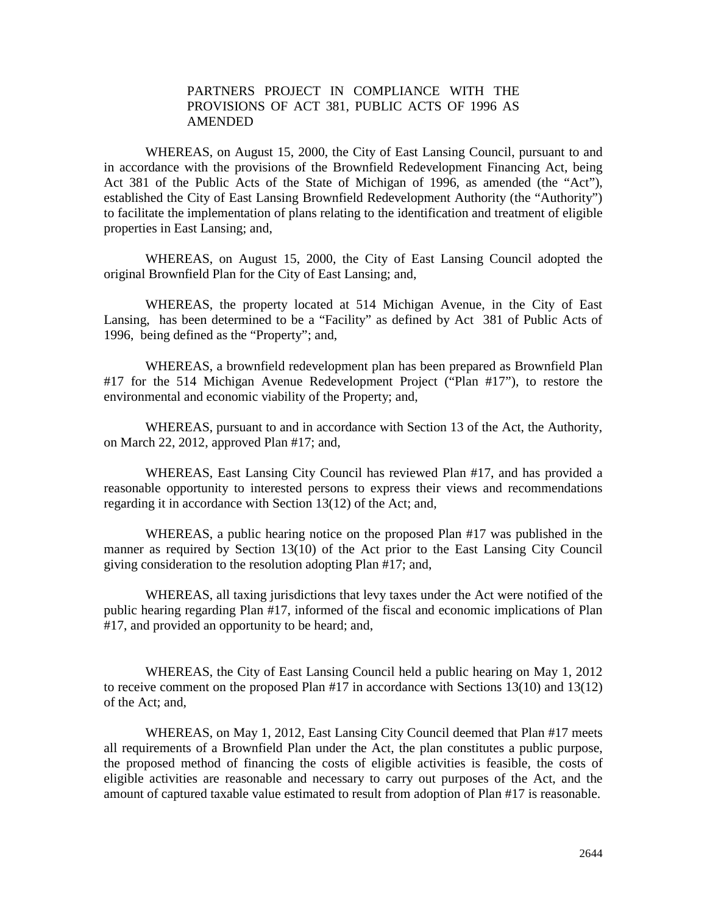### PARTNERS PROJECT IN COMPLIANCE WITH THE PROVISIONS OF ACT 381, PUBLIC ACTS OF 1996 AS AMENDED

WHEREAS, on August 15, 2000, the City of East Lansing Council, pursuant to and in accordance with the provisions of the Brownfield Redevelopment Financing Act, being Act 381 of the Public Acts of the State of Michigan of 1996, as amended (the "Act"), established the City of East Lansing Brownfield Redevelopment Authority (the "Authority") to facilitate the implementation of plans relating to the identification and treatment of eligible properties in East Lansing; and,

WHEREAS, on August 15, 2000, the City of East Lansing Council adopted the original Brownfield Plan for the City of East Lansing; and,

WHEREAS, the property located at 514 Michigan Avenue, in the City of East Lansing, has been determined to be a "Facility" as defined by Act 381 of Public Acts of 1996, being defined as the "Property"; and,

WHEREAS, a brownfield redevelopment plan has been prepared as Brownfield Plan #17 for the 514 Michigan Avenue Redevelopment Project ("Plan #17"), to restore the environmental and economic viability of the Property; and,

WHEREAS, pursuant to and in accordance with Section 13 of the Act, the Authority, on March 22, 2012, approved Plan #17; and,

WHEREAS, East Lansing City Council has reviewed Plan #17, and has provided a reasonable opportunity to interested persons to express their views and recommendations regarding it in accordance with Section 13(12) of the Act; and,

WHEREAS, a public hearing notice on the proposed Plan #17 was published in the manner as required by Section 13(10) of the Act prior to the East Lansing City Council giving consideration to the resolution adopting Plan #17; and,

WHEREAS, all taxing jurisdictions that levy taxes under the Act were notified of the public hearing regarding Plan #17, informed of the fiscal and economic implications of Plan #17, and provided an opportunity to be heard; and,

WHEREAS, the City of East Lansing Council held a public hearing on May 1, 2012 to receive comment on the proposed Plan #17 in accordance with Sections 13(10) and 13(12) of the Act; and,

WHEREAS, on May 1, 2012, East Lansing City Council deemed that Plan #17 meets all requirements of a Brownfield Plan under the Act, the plan constitutes a public purpose, the proposed method of financing the costs of eligible activities is feasible, the costs of eligible activities are reasonable and necessary to carry out purposes of the Act, and the amount of captured taxable value estimated to result from adoption of Plan #17 is reasonable.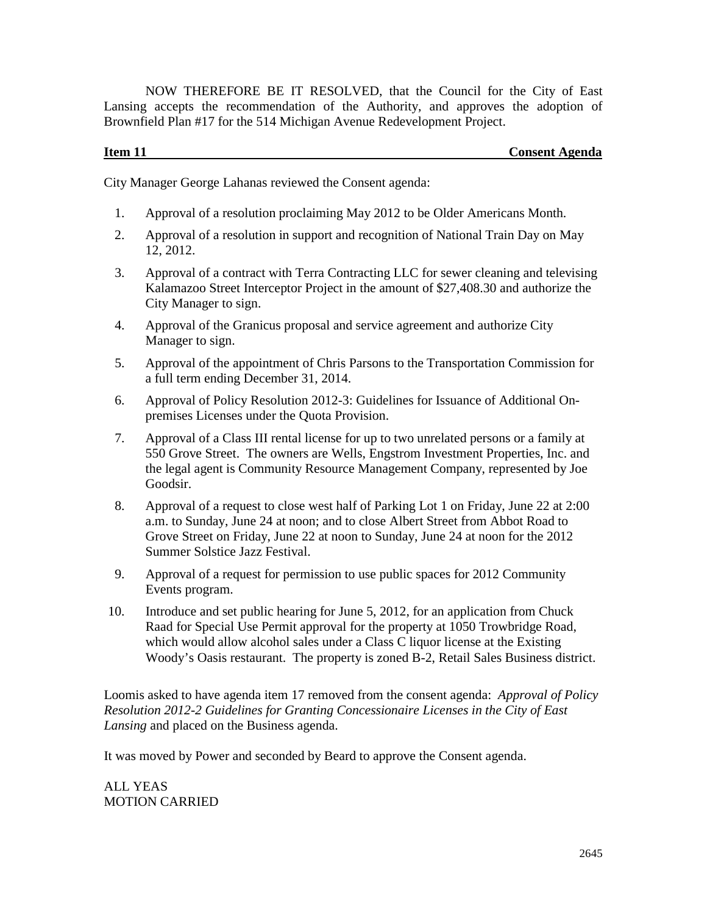NOW THEREFORE BE IT RESOLVED, that the Council for the City of East Lansing accepts the recommendation of the Authority, and approves the adoption of Brownfield Plan #17 for the 514 Michigan Avenue Redevelopment Project.

# **Item 11** Consent Agenda

City Manager George Lahanas reviewed the Consent agenda:

- 1. Approval of a resolution proclaiming May 2012 to be Older Americans Month.
- 2. Approval of a resolution in support and recognition of National Train Day on May 12, 2012.
- 3. Approval of a contract with Terra Contracting LLC for sewer cleaning and televising Kalamazoo Street Interceptor Project in the amount of \$27,408.30 and authorize the City Manager to sign.
- 4. Approval of the Granicus proposal and service agreement and authorize City Manager to sign.
- 5. Approval of the appointment of Chris Parsons to the Transportation Commission for a full term ending December 31, 2014.
- 6. Approval of Policy Resolution 2012-3: Guidelines for Issuance of Additional Onpremises Licenses under the Quota Provision.
- 7. Approval of a Class III rental license for up to two unrelated persons or a family at 550 Grove Street. The owners are Wells, Engstrom Investment Properties, Inc. and the legal agent is Community Resource Management Company, represented by Joe Goodsir.
- 8. Approval of a request to close west half of Parking Lot 1 on Friday, June 22 at 2:00 a.m. to Sunday, June 24 at noon; and to close Albert Street from Abbot Road to Grove Street on Friday, June 22 at noon to Sunday, June 24 at noon for the 2012 Summer Solstice Jazz Festival.
- 9. Approval of a request for permission to use public spaces for 2012 Community Events program.
- 10. Introduce and set public hearing for June 5, 2012, for an application from Chuck Raad for Special Use Permit approval for the property at 1050 Trowbridge Road, which would allow alcohol sales under a Class C liquor license at the Existing Woody's Oasis restaurant. The property is zoned B-2, Retail Sales Business district.

Loomis asked to have agenda item 17 removed from the consent agenda: *Approval of Policy Resolution 2012-2 Guidelines for Granting Concessionaire Licenses in the City of East Lansing* and placed on the Business agenda.

It was moved by Power and seconded by Beard to approve the Consent agenda.

ALL YEAS MOTION CARRIED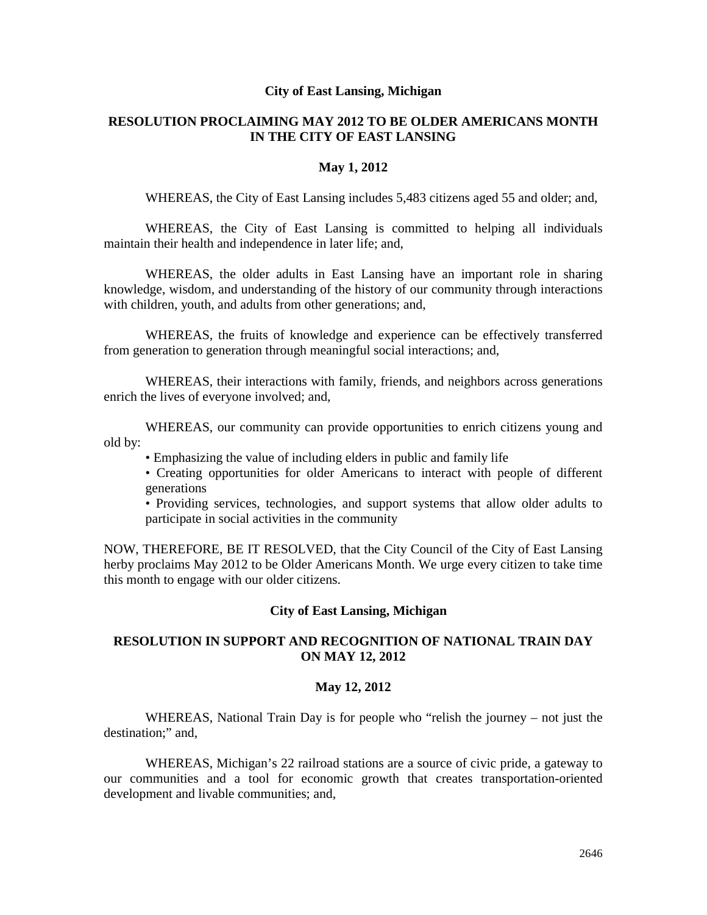#### **City of East Lansing, Michigan**

# **RESOLUTION PROCLAIMING MAY 2012 TO BE OLDER AMERICANS MONTH IN THE CITY OF EAST LANSING**

#### **May 1, 2012**

WHEREAS, the City of East Lansing includes 5,483 citizens aged 55 and older; and,

WHEREAS, the City of East Lansing is committed to helping all individuals maintain their health and independence in later life; and,

WHEREAS, the older adults in East Lansing have an important role in sharing knowledge, wisdom, and understanding of the history of our community through interactions with children, youth, and adults from other generations; and,

WHEREAS, the fruits of knowledge and experience can be effectively transferred from generation to generation through meaningful social interactions; and,

WHEREAS, their interactions with family, friends, and neighbors across generations enrich the lives of everyone involved; and,

WHEREAS, our community can provide opportunities to enrich citizens young and old by:

• Emphasizing the value of including elders in public and family life

• Creating opportunities for older Americans to interact with people of different generations

• Providing services, technologies, and support systems that allow older adults to participate in social activities in the community

NOW, THEREFORE, BE IT RESOLVED, that the City Council of the City of East Lansing herby proclaims May 2012 to be Older Americans Month. We urge every citizen to take time this month to engage with our older citizens.

#### **City of East Lansing, Michigan**

#### **RESOLUTION IN SUPPORT AND RECOGNITION OF NATIONAL TRAIN DAY ON MAY 12, 2012**

#### **May 12, 2012**

WHEREAS, National Train Day is for people who "relish the journey – not just the destination;" and,

WHEREAS, Michigan's 22 railroad stations are a source of civic pride, a gateway to our communities and a tool for economic growth that creates transportation-oriented development and livable communities; and,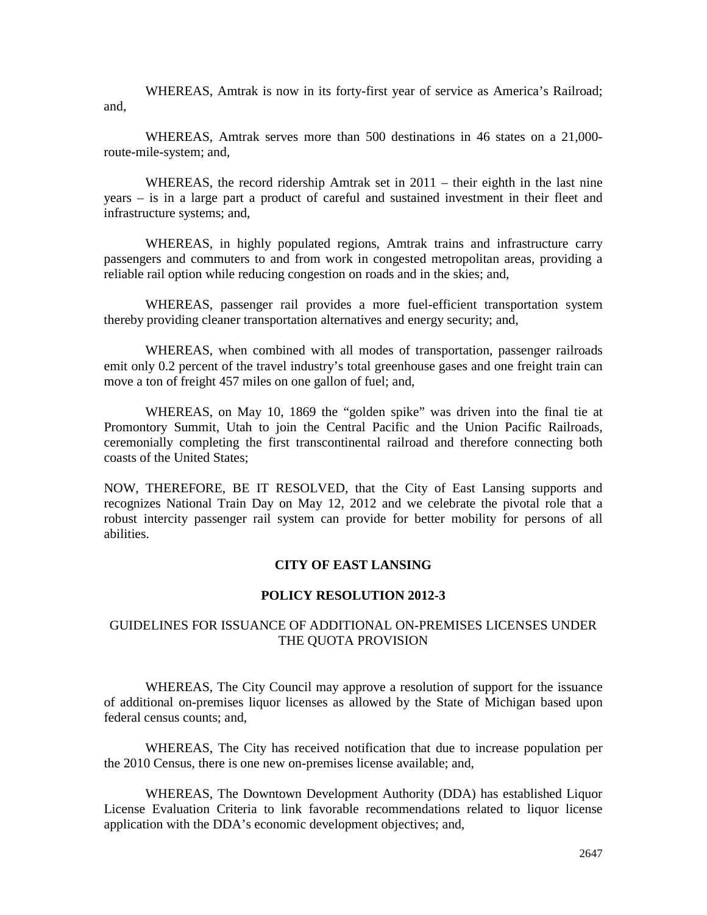WHEREAS, Amtrak is now in its forty-first year of service as America's Railroad; and,

WHEREAS, Amtrak serves more than 500 destinations in 46 states on a 21,000 route-mile-system; and,

WHEREAS, the record ridership Amtrak set in 2011 – their eighth in the last nine years – is in a large part a product of careful and sustained investment in their fleet and infrastructure systems; and,

WHEREAS, in highly populated regions, Amtrak trains and infrastructure carry passengers and commuters to and from work in congested metropolitan areas, providing a reliable rail option while reducing congestion on roads and in the skies; and,

WHEREAS, passenger rail provides a more fuel-efficient transportation system thereby providing cleaner transportation alternatives and energy security; and,

WHEREAS, when combined with all modes of transportation, passenger railroads emit only 0.2 percent of the travel industry's total greenhouse gases and one freight train can move a ton of freight 457 miles on one gallon of fuel; and,

WHEREAS, on May 10, 1869 the "golden spike" was driven into the final tie at Promontory Summit, Utah to join the Central Pacific and the Union Pacific Railroads, ceremonially completing the first transcontinental railroad and therefore connecting both coasts of the United States;

NOW, THEREFORE, BE IT RESOLVED, that the City of East Lansing supports and recognizes National Train Day on May 12, 2012 and we celebrate the pivotal role that a robust intercity passenger rail system can provide for better mobility for persons of all abilities.

### **CITY OF EAST LANSING**

#### **POLICY RESOLUTION 2012-3**

#### GUIDELINES FOR ISSUANCE OF ADDITIONAL ON-PREMISES LICENSES UNDER THE QUOTA PROVISION

WHEREAS, The City Council may approve a resolution of support for the issuance of additional on-premises liquor licenses as allowed by the State of Michigan based upon federal census counts; and,

WHEREAS, The City has received notification that due to increase population per the 2010 Census, there is one new on-premises license available; and,

WHEREAS, The Downtown Development Authority (DDA) has established Liquor License Evaluation Criteria to link favorable recommendations related to liquor license application with the DDA's economic development objectives; and,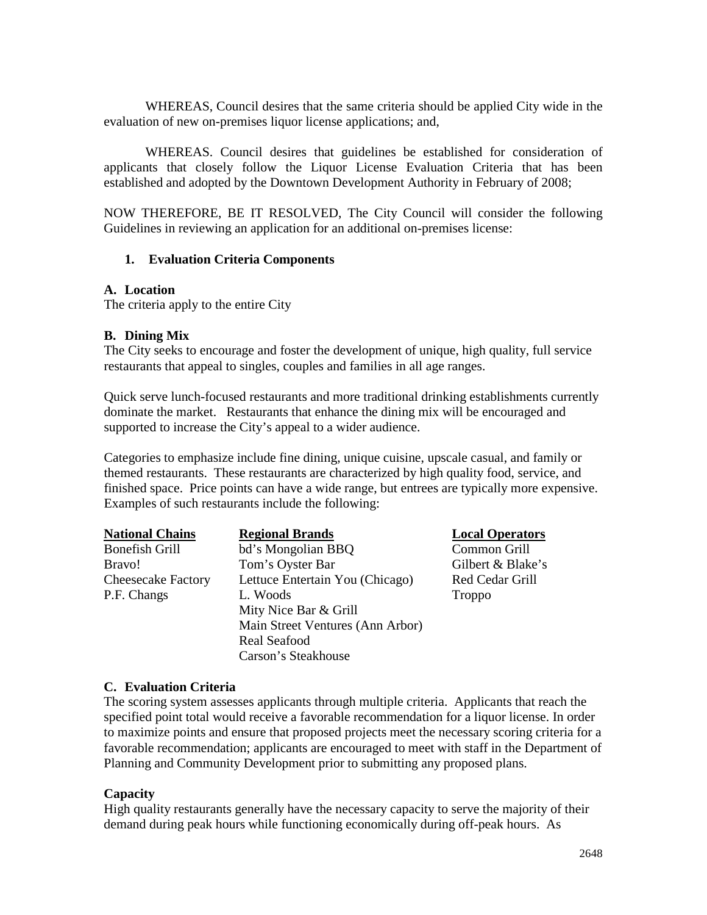WHEREAS, Council desires that the same criteria should be applied City wide in the evaluation of new on-premises liquor license applications; and,

WHEREAS. Council desires that guidelines be established for consideration of applicants that closely follow the Liquor License Evaluation Criteria that has been established and adopted by the Downtown Development Authority in February of 2008;

NOW THEREFORE, BE IT RESOLVED, The City Council will consider the following Guidelines in reviewing an application for an additional on-premises license:

### **1. Evaluation Criteria Components**

#### **A. Location**

The criteria apply to the entire City

### **B. Dining Mix**

The City seeks to encourage and foster the development of unique, high quality, full service restaurants that appeal to singles, couples and families in all age ranges.

Quick serve lunch-focused restaurants and more traditional drinking establishments currently dominate the market. Restaurants that enhance the dining mix will be encouraged and supported to increase the City's appeal to a wider audience.

Categories to emphasize include fine dining, unique cuisine, upscale casual, and family or themed restaurants. These restaurants are characterized by high quality food, service, and finished space. Price points can have a wide range, but entrees are typically more expensive. Examples of such restaurants include the following:

| <b>National Chains</b>    | <b>Regional Brands</b>           | Local ( |
|---------------------------|----------------------------------|---------|
| <b>Bonefish Grill</b>     | bd's Mongolian BBQ               | Commo   |
| Bravo!                    | Tom's Oyster Bar                 | Gilbert |
| <b>Cheesecake Factory</b> | Lettuce Entertain You (Chicago)  | Red Ce  |
| P.F. Changs               | L. Woods                         | Troppo  |
|                           | Mity Nice Bar & Grill            |         |
|                           | Main Street Ventures (Ann Arbor) |         |
|                           | <b>Real Seafood</b>              |         |
|                           | Carson's Steakhouse              |         |

#### **D**perators on Grill

 $\&$  Blake's dar Grill

#### **C. Evaluation Criteria**

The scoring system assesses applicants through multiple criteria. Applicants that reach the specified point total would receive a favorable recommendation for a liquor license. In order to maximize points and ensure that proposed projects meet the necessary scoring criteria for a favorable recommendation; applicants are encouraged to meet with staff in the Department of Planning and Community Development prior to submitting any proposed plans.

# **Capacity**

High quality restaurants generally have the necessary capacity to serve the majority of their demand during peak hours while functioning economically during off-peak hours. As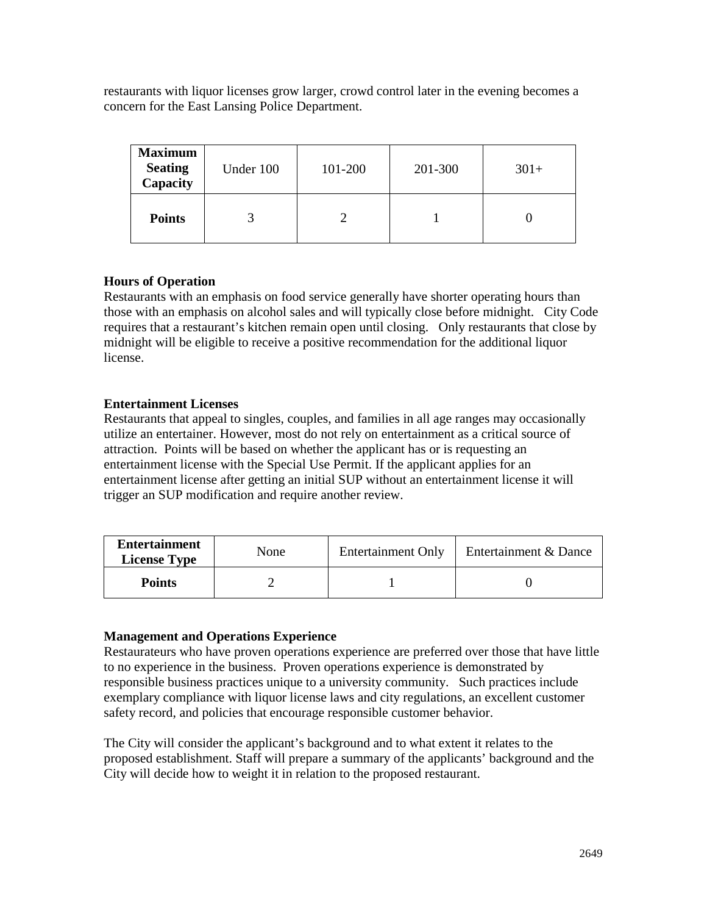restaurants with liquor licenses grow larger, crowd control later in the evening becomes a concern for the East Lansing Police Department.

| <b>Maximum</b><br><b>Seating</b><br>Capacity | Under 100 | 101-200 | 201-300 | $301+$ |
|----------------------------------------------|-----------|---------|---------|--------|
| <b>Points</b>                                |           |         |         |        |

# **Hours of Operation**

Restaurants with an emphasis on food service generally have shorter operating hours than those with an emphasis on alcohol sales and will typically close before midnight. City Code requires that a restaurant's kitchen remain open until closing. Only restaurants that close by midnight will be eligible to receive a positive recommendation for the additional liquor license.

# **Entertainment Licenses**

Restaurants that appeal to singles, couples, and families in all age ranges may occasionally utilize an entertainer. However, most do not rely on entertainment as a critical source of attraction. Points will be based on whether the applicant has or is requesting an entertainment license with the Special Use Permit. If the applicant applies for an entertainment license after getting an initial SUP without an entertainment license it will trigger an SUP modification and require another review.

| <b>Entertainment</b><br><b>License Type</b> | None | <b>Entertainment Only</b> | Entertainment & Dance |
|---------------------------------------------|------|---------------------------|-----------------------|
| <b>Points</b>                               |      |                           |                       |

# **Management and Operations Experience**

Restaurateurs who have proven operations experience are preferred over those that have little to no experience in the business. Proven operations experience is demonstrated by responsible business practices unique to a university community. Such practices include exemplary compliance with liquor license laws and city regulations, an excellent customer safety record, and policies that encourage responsible customer behavior.

The City will consider the applicant's background and to what extent it relates to the proposed establishment. Staff will prepare a summary of the applicants' background and the City will decide how to weight it in relation to the proposed restaurant.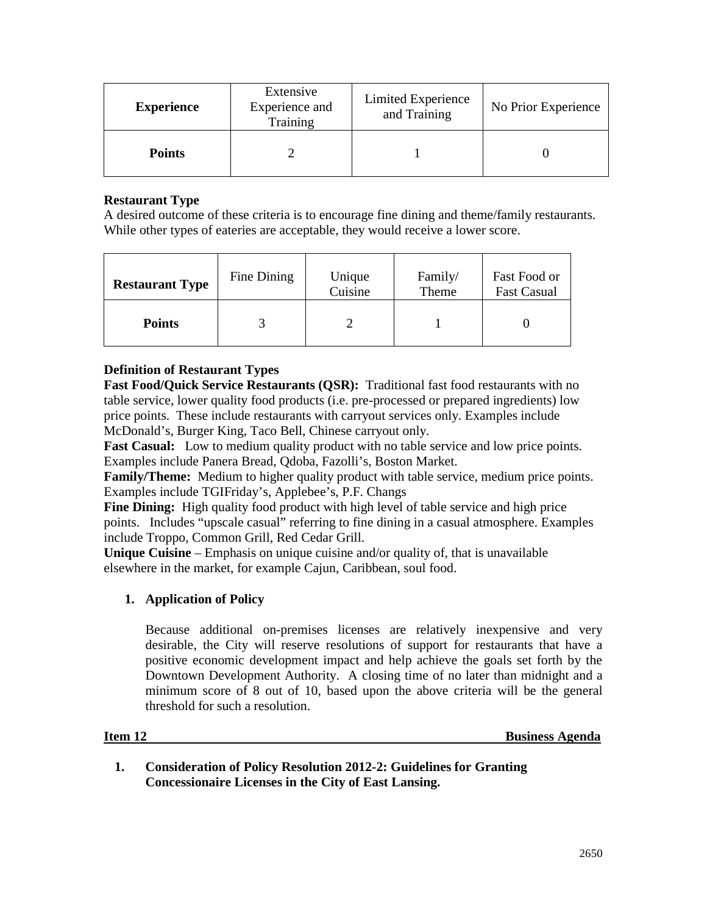| <b>Experience</b> | Extensive<br>Experience and<br>Training | Limited Experience<br>and Training | No Prior Experience |
|-------------------|-----------------------------------------|------------------------------------|---------------------|
| <b>Points</b>     |                                         |                                    |                     |

# **Restaurant Type**

A desired outcome of these criteria is to encourage fine dining and theme/family restaurants. While other types of eateries are acceptable, they would receive a lower score.

| <b>Restaurant Type</b> | Fine Dining | Unique<br>Cuisine | Family/<br>Theme | Fast Food or<br><b>Fast Casual</b> |
|------------------------|-------------|-------------------|------------------|------------------------------------|
| <b>Points</b>          |             |                   |                  |                                    |

# **Definition of Restaurant Types**

**Fast Food/Quick Service Restaurants (QSR):** Traditional fast food restaurants with no table service, lower quality food products (i.e. pre-processed or prepared ingredients) low price points. These include restaurants with carryout services only. Examples include McDonald's, Burger King, Taco Bell, Chinese carryout only.

**Fast Casual:** Low to medium quality product with no table service and low price points. Examples include Panera Bread, Qdoba, Fazolli's, Boston Market.

**Family/Theme:** Medium to higher quality product with table service, medium price points. Examples include TGIFriday's, Applebee's, P.F. Changs

**Fine Dining:** High quality food product with high level of table service and high price points. Includes "upscale casual" referring to fine dining in a casual atmosphere. Examples include Troppo, Common Grill, Red Cedar Grill.

**Unique Cuisine** – Emphasis on unique cuisine and/or quality of, that is unavailable elsewhere in the market, for example Cajun, Caribbean, soul food.

# **1. Application of Policy**

Because additional on-premises licenses are relatively inexpensive and very desirable, the City will reserve resolutions of support for restaurants that have a positive economic development impact and help achieve the goals set forth by the Downtown Development Authority. A closing time of no later than midnight and a minimum score of 8 out of 10, based upon the above criteria will be the general threshold for such a resolution.

#### **Item 12 Business Agenda**

**1. Consideration of Policy Resolution 2012-2: Guidelines for Granting Concessionaire Licenses in the City of East Lansing.**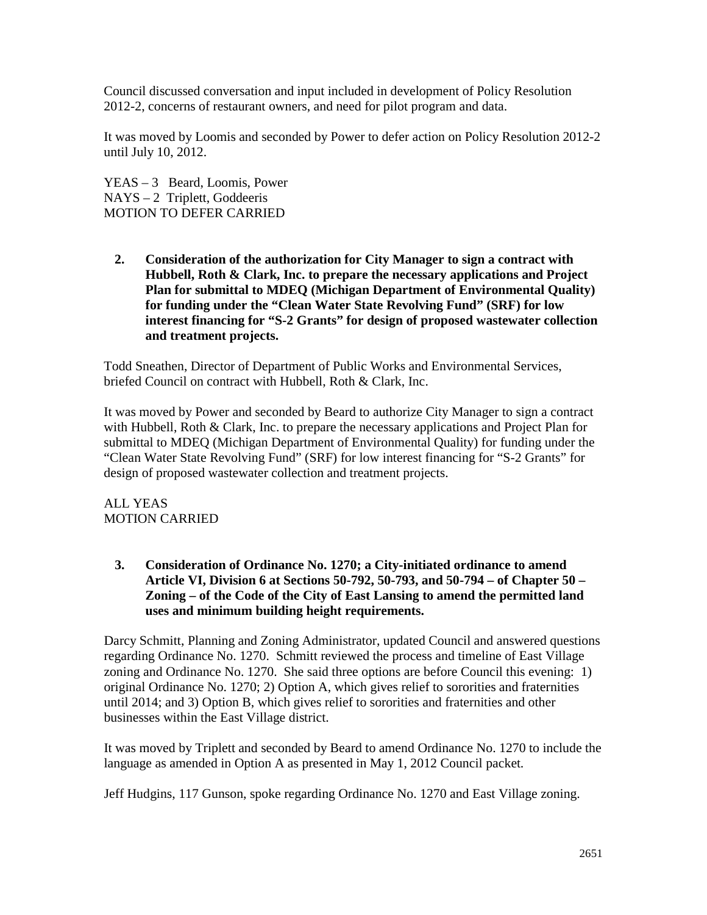Council discussed conversation and input included in development of Policy Resolution 2012-2, concerns of restaurant owners, and need for pilot program and data.

It was moved by Loomis and seconded by Power to defer action on Policy Resolution 2012-2 until July 10, 2012.

YEAS – 3 Beard, Loomis, Power NAYS – 2 Triplett, Goddeeris MOTION TO DEFER CARRIED

**2. Consideration of the authorization for City Manager to sign a contract with Hubbell, Roth & Clark, Inc. to prepare the necessary applications and Project Plan for submittal to MDEQ (Michigan Department of Environmental Quality) for funding under the "Clean Water State Revolving Fund" (SRF) for low interest financing for "S-2 Grants" for design of proposed wastewater collection and treatment projects.**

Todd Sneathen, Director of Department of Public Works and Environmental Services, briefed Council on contract with Hubbell, Roth & Clark, Inc.

It was moved by Power and seconded by Beard to authorize City Manager to sign a contract with Hubbell, Roth & Clark, Inc. to prepare the necessary applications and Project Plan for submittal to MDEQ (Michigan Department of Environmental Quality) for funding under the "Clean Water State Revolving Fund" (SRF) for low interest financing for "S-2 Grants" for design of proposed wastewater collection and treatment projects.

ALL YEAS MOTION CARRIED

**3. Consideration of Ordinance No. 1270; a City-initiated ordinance to amend Article VI, Division 6 at Sections 50-792, 50-793, and 50-794 – of Chapter 50 – Zoning – of the Code of the City of East Lansing to amend the permitted land uses and minimum building height requirements.**

Darcy Schmitt, Planning and Zoning Administrator, updated Council and answered questions regarding Ordinance No. 1270. Schmitt reviewed the process and timeline of East Village zoning and Ordinance No. 1270. She said three options are before Council this evening: 1) original Ordinance No. 1270; 2) Option A, which gives relief to sororities and fraternities until 2014; and 3) Option B, which gives relief to sororities and fraternities and other businesses within the East Village district.

It was moved by Triplett and seconded by Beard to amend Ordinance No. 1270 to include the language as amended in Option A as presented in May 1, 2012 Council packet.

Jeff Hudgins, 117 Gunson, spoke regarding Ordinance No. 1270 and East Village zoning.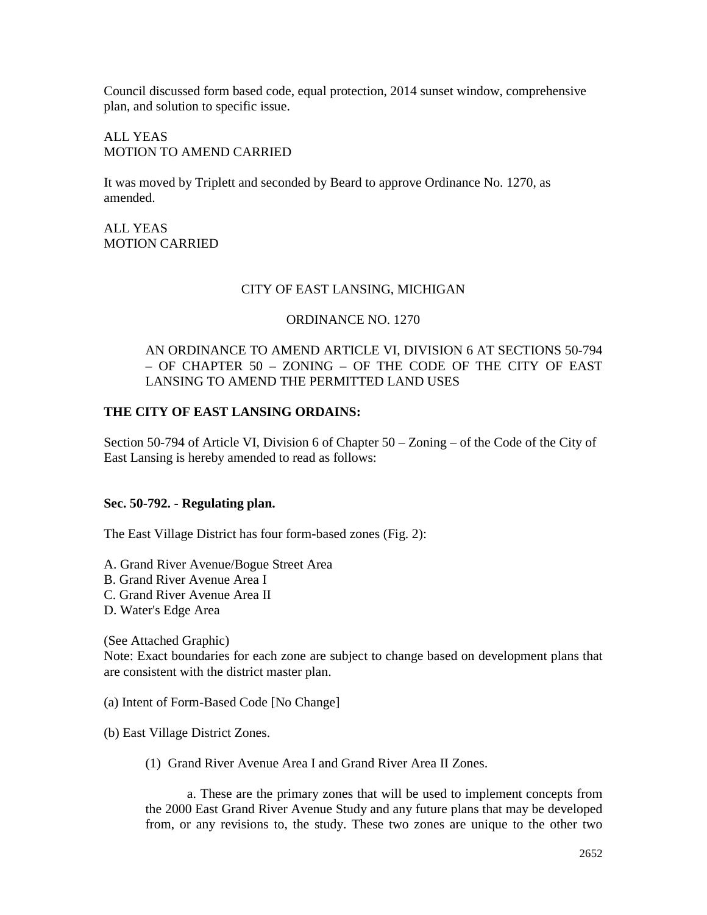Council discussed form based code, equal protection, 2014 sunset window, comprehensive plan, and solution to specific issue.

ALL YEAS MOTION TO AMEND CARRIED

It was moved by Triplett and seconded by Beard to approve Ordinance No. 1270, as amended.

ALL YEAS MOTION CARRIED

#### CITY OF EAST LANSING, MICHIGAN

#### ORDINANCE NO. 1270

#### AN ORDINANCE TO AMEND ARTICLE VI, DIVISION 6 AT SECTIONS 50-794 – OF CHAPTER 50 – ZONING – OF THE CODE OF THE CITY OF EAST LANSING TO AMEND THE PERMITTED LAND USES

### **THE CITY OF EAST LANSING ORDAINS:**

Section 50-794 of Article VI, Division 6 of Chapter 50 – Zoning – of the Code of the City of East Lansing is hereby amended to read as follows:

#### **Sec. 50-792. - Regulating plan.**

The East Village District has four form-based zones (Fig. 2):

A. Grand River Avenue/Bogue Street Area

- B. Grand River Avenue Area I
- C. Grand River Avenue Area II
- D. Water's Edge Area

(See Attached Graphic)

Note: Exact boundaries for each zone are subject to change based on development plans that are consistent with the district master plan.

- (a) Intent of Form-Based Code [No Change]
- (b) East Village District Zones.
	- (1) Grand River Avenue Area I and Grand River Area II Zones.

a. These are the primary zones that will be used to implement concepts from the 2000 East Grand River Avenue Study and any future plans that may be developed from, or any revisions to, the study. These two zones are unique to the other two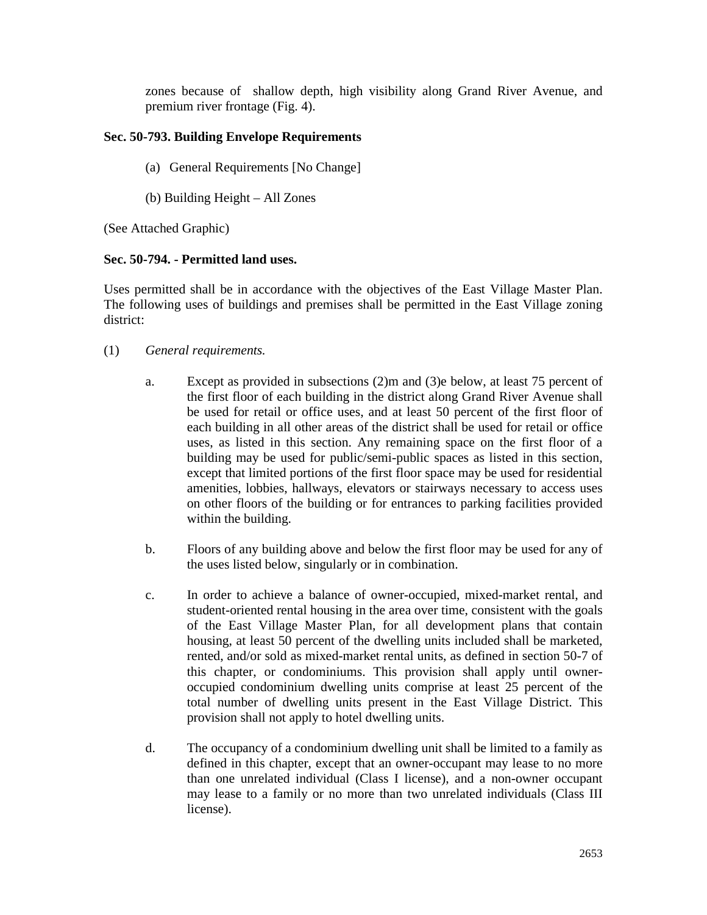zones because of shallow depth, high visibility along Grand River Avenue, and premium river frontage (Fig. 4).

# **Sec. 50-793. Building Envelope Requirements**

- (a) General Requirements [No Change]
- (b) Building Height All Zones

(See Attached Graphic)

# **Sec. 50-794. - Permitted land uses.**

Uses permitted shall be in accordance with the objectives of the East Village Master Plan. The following uses of buildings and premises shall be permitted in the East Village zoning district:

- (1) *General requirements.*
	- a. Except as provided in subsections (2)m and (3)e below, at least 75 percent of the first floor of each building in the district along Grand River Avenue shall be used for retail or office uses, and at least 50 percent of the first floor of each building in all other areas of the district shall be used for retail or office uses, as listed in this section. Any remaining space on the first floor of a building may be used for public/semi-public spaces as listed in this section, except that limited portions of the first floor space may be used for residential amenities, lobbies, hallways, elevators or stairways necessary to access uses on other floors of the building or for entrances to parking facilities provided within the building.
	- b. Floors of any building above and below the first floor may be used for any of the uses listed below, singularly or in combination.
	- c. In order to achieve a balance of owner-occupied, mixed-market rental, and student-oriented rental housing in the area over time, consistent with the goals of the East Village Master Plan, for all development plans that contain housing, at least 50 percent of the dwelling units included shall be marketed, rented, and/or sold as mixed-market rental units, as defined in section 50-7 of this chapter, or condominiums. This provision shall apply until owneroccupied condominium dwelling units comprise at least 25 percent of the total number of dwelling units present in the East Village District. This provision shall not apply to hotel dwelling units.
	- d. The occupancy of a condominium dwelling unit shall be limited to a family as defined in this chapter, except that an owner-occupant may lease to no more than one unrelated individual (Class I license), and a non-owner occupant may lease to a family or no more than two unrelated individuals (Class III license).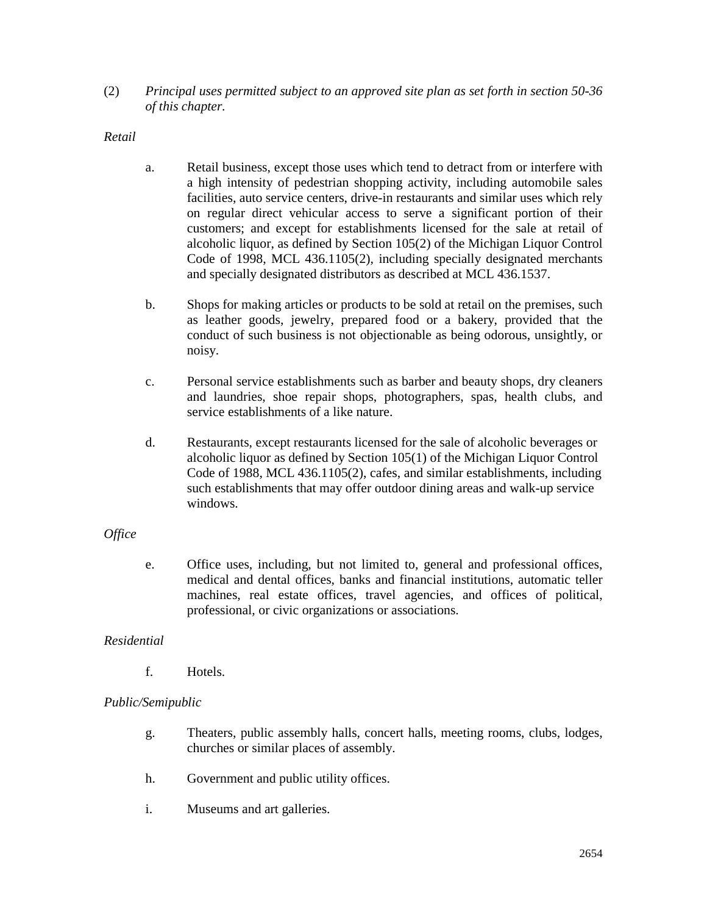(2) *Principal uses permitted subject to an approved site plan as set forth in section 50-36 of this chapter.*

*Retail*

- a. Retail business, except those uses which tend to detract from or interfere with a high intensity of pedestrian shopping activity, including automobile sales facilities, auto service centers, drive-in restaurants and similar uses which rely on regular direct vehicular access to serve a significant portion of their customers; and except for establishments licensed for the sale at retail of alcoholic liquor, as defined by Section 105(2) of the Michigan Liquor Control Code of 1998, MCL 436.1105(2), including specially designated merchants and specially designated distributors as described at MCL 436.1537.
- b. Shops for making articles or products to be sold at retail on the premises, such as leather goods, jewelry, prepared food or a bakery, provided that the conduct of such business is not objectionable as being odorous, unsightly, or noisy.
- c. Personal service establishments such as barber and beauty shops, dry cleaners and laundries, shoe repair shops, photographers, spas, health clubs, and service establishments of a like nature.
- d. Restaurants, except restaurants licensed for the sale of alcoholic beverages or alcoholic liquor as defined by Section 105(1) of the Michigan Liquor Control Code of 1988, MCL 436.1105(2), cafes, and similar establishments, including such establishments that may offer outdoor dining areas and walk-up service windows.

#### *Office*

e. Office uses, including, but not limited to, general and professional offices, medical and dental offices, banks and financial institutions, automatic teller machines, real estate offices, travel agencies, and offices of political, professional, or civic organizations or associations.

# *Residential*

f. Hotels.

# *Public/Semipublic*

- g. Theaters, public assembly halls, concert halls, meeting rooms, clubs, lodges, churches or similar places of assembly.
- h. Government and public utility offices.
- i. Museums and art galleries.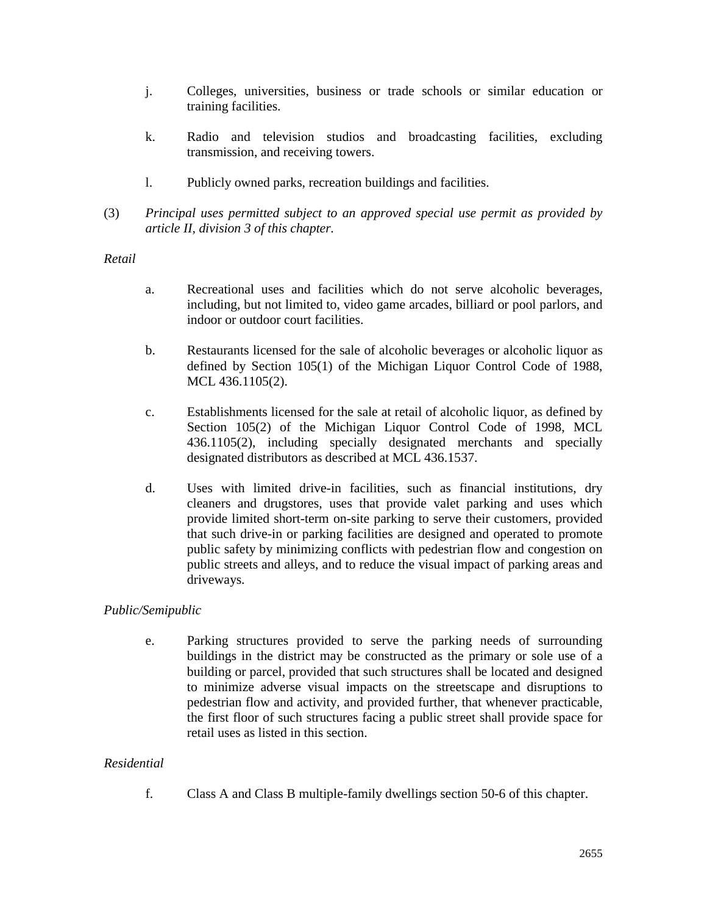- j. Colleges, universities, business or trade schools or similar education or training facilities.
- k. Radio and television studios and broadcasting facilities, excluding transmission, and receiving towers.
- l. Publicly owned parks, recreation buildings and facilities.
- (3) *Principal uses permitted subject to an approved special use permit as provided by article II, division 3 of this chapter.*

### *Retail*

- a. Recreational uses and facilities which do not serve alcoholic beverages, including, but not limited to, video game arcades, billiard or pool parlors, and indoor or outdoor court facilities.
- b. Restaurants licensed for the sale of alcoholic beverages or alcoholic liquor as defined by Section 105(1) of the Michigan Liquor Control Code of 1988, MCL 436.1105(2).
- c. Establishments licensed for the sale at retail of alcoholic liquor, as defined by Section 105(2) of the Michigan Liquor Control Code of 1998, MCL 436.1105(2), including specially designated merchants and specially designated distributors as described at MCL 436.1537.
- d. Uses with limited drive-in facilities, such as financial institutions, dry cleaners and drugstores, uses that provide valet parking and uses which provide limited short-term on-site parking to serve their customers, provided that such drive-in or parking facilities are designed and operated to promote public safety by minimizing conflicts with pedestrian flow and congestion on public streets and alleys, and to reduce the visual impact of parking areas and driveways.

# *Public/Semipublic*

e. Parking structures provided to serve the parking needs of surrounding buildings in the district may be constructed as the primary or sole use of a building or parcel, provided that such structures shall be located and designed to minimize adverse visual impacts on the streetscape and disruptions to pedestrian flow and activity, and provided further, that whenever practicable, the first floor of such structures facing a public street shall provide space for retail uses as listed in this section.

# *Residential*

f. Class A and Class B multiple-family dwellings section 50-6 of this chapter.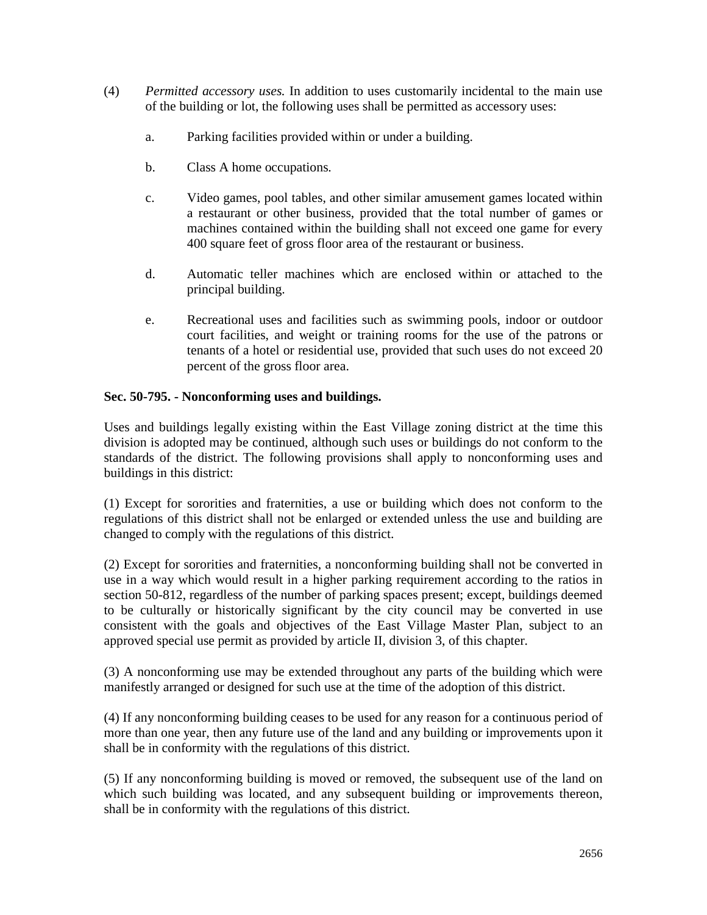- (4) *Permitted accessory uses.* In addition to uses customarily incidental to the main use of the building or lot, the following uses shall be permitted as accessory uses:
	- a. Parking facilities provided within or under a building.
	- b. Class A home occupations.
	- c. Video games, pool tables, and other similar amusement games located within a restaurant or other business, provided that the total number of games or machines contained within the building shall not exceed one game for every 400 square feet of gross floor area of the restaurant or business.
	- d. Automatic teller machines which are enclosed within or attached to the principal building.
	- e. Recreational uses and facilities such as swimming pools, indoor or outdoor court facilities, and weight or training rooms for the use of the patrons or tenants of a hotel or residential use, provided that such uses do not exceed 20 percent of the gross floor area.

### **Sec. 50-795. - Nonconforming uses and buildings.**

Uses and buildings legally existing within the East Village zoning district at the time this division is adopted may be continued, although such uses or buildings do not conform to the standards of the district. The following provisions shall apply to nonconforming uses and buildings in this district:

(1) Except for sororities and fraternities, a use or building which does not conform to the regulations of this district shall not be enlarged or extended unless the use and building are changed to comply with the regulations of this district.

(2) Except for sororities and fraternities, a nonconforming building shall not be converted in use in a way which would result in a higher parking requirement according to the ratios in section 50-812, regardless of the number of parking spaces present; except, buildings deemed to be culturally or historically significant by the city council may be converted in use consistent with the goals and objectives of the East Village Master Plan, subject to an approved special use permit as provided by article II, division 3, of this chapter.

(3) A nonconforming use may be extended throughout any parts of the building which were manifestly arranged or designed for such use at the time of the adoption of this district.

(4) If any nonconforming building ceases to be used for any reason for a continuous period of more than one year, then any future use of the land and any building or improvements upon it shall be in conformity with the regulations of this district.

(5) If any nonconforming building is moved or removed, the subsequent use of the land on which such building was located, and any subsequent building or improvements thereon, shall be in conformity with the regulations of this district.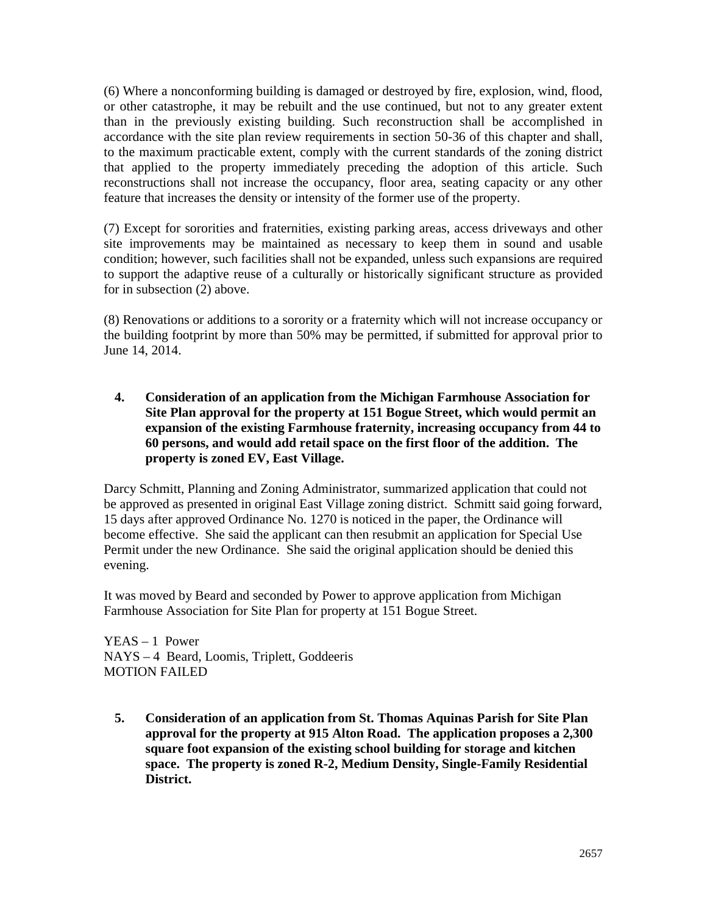(6) Where a nonconforming building is damaged or destroyed by fire, explosion, wind, flood, or other catastrophe, it may be rebuilt and the use continued, but not to any greater extent than in the previously existing building. Such reconstruction shall be accomplished in accordance with the site plan review requirements in section 50-36 of this chapter and shall, to the maximum practicable extent, comply with the current standards of the zoning district that applied to the property immediately preceding the adoption of this article. Such reconstructions shall not increase the occupancy, floor area, seating capacity or any other feature that increases the density or intensity of the former use of the property.

(7) Except for sororities and fraternities, existing parking areas, access driveways and other site improvements may be maintained as necessary to keep them in sound and usable condition; however, such facilities shall not be expanded, unless such expansions are required to support the adaptive reuse of a culturally or historically significant structure as provided for in subsection (2) above.

(8) Renovations or additions to a sorority or a fraternity which will not increase occupancy or the building footprint by more than 50% may be permitted, if submitted for approval prior to June 14, 2014.

**4. Consideration of an application from the Michigan Farmhouse Association for Site Plan approval for the property at 151 Bogue Street, which would permit an expansion of the existing Farmhouse fraternity, increasing occupancy from 44 to 60 persons, and would add retail space on the first floor of the addition. The property is zoned EV, East Village.**

Darcy Schmitt, Planning and Zoning Administrator, summarized application that could not be approved as presented in original East Village zoning district. Schmitt said going forward, 15 days after approved Ordinance No. 1270 is noticed in the paper, the Ordinance will become effective. She said the applicant can then resubmit an application for Special Use Permit under the new Ordinance. She said the original application should be denied this evening.

It was moved by Beard and seconded by Power to approve application from Michigan Farmhouse Association for Site Plan for property at 151 Bogue Street.

YEAS – 1 Power NAYS – 4 Beard, Loomis, Triplett, Goddeeris MOTION FAILED

**5. Consideration of an application from St. Thomas Aquinas Parish for Site Plan approval for the property at 915 Alton Road. The application proposes a 2,300 square foot expansion of the existing school building for storage and kitchen space. The property is zoned R-2, Medium Density, Single-Family Residential District.**